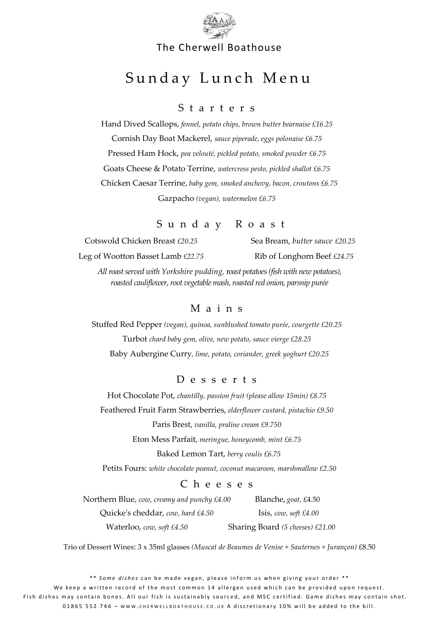

#### The Cherwell Boathouse

# Sunday Lunch Menu

#### S t a r t e r s

Hand Dived Scallops, *fennel, potato chips, brown butter bearnaise £16.25* Cornish Day Boat Mackerel, *sauce piperade, eggs polonaise £6.75* Pressed Ham Hock, *pea velouté, pickled potato, smoked powder £6.75* Goats Cheese & Potato Terrine, *watercress pesto, pickled shallot £6.75* Chicken Caesar Terrine, *baby gem, smoked anchovy, bacon, croutons £6.75* Gazpacho *(vegan), watermelon £6.75*

## S u n d a y R o a s t

Cotswold Chicken Breast *£20.25* Sea Bream, *butter sauce £20.25* Leg of Wootton Basset Lamb *£22.75* Rib of Longhorn Beef *£24.75*

*All roast served with Yorkshire pudding,* r*oast potatoes (fish with new potatoes), roasted cauliflower,root vegetable mash, roasted red onion, parsnip purée*

#### M a i n s

Stuffed Red Pepper *(vegan), quinoa, sunblushed tomato purée, courgette £20.25* Turbot *chard baby gem, olive, new potato, sauce vierge £28.25* Baby Aubergine Curry*, lime, potato, coriander, greek yoghurt £20.25*

#### D e s s e r t s

Hot Chocolate Pot, *chantilly, passion fruit (please allow 15min) £8.75* Feathered Fruit Farm Strawberries, *elderflower custard, pistachio £9.50* Paris Brest, *vanilla, praline cream £9.750*

Eton Mess Parfait, *meringue, honeycomb, mint £6.75*

Baked Lemon Tart, *berry coulis £6.75* 

Petits Fours: *white chocolate peanut, coconut macaroon, marshmallow £2.50*

#### C h e e s e s

Northern Blue, *cow, creamy and punchy £4.00* Blanche**,** *goat,* £4.50 Quicke's cheddar, *cow, hard £4.50* Isis, *cow, soft £4.00* Waterloo, *cow, soft £4.50* Sharing Board *(5 cheeses) £21.00*

Trio of Dessert Wines: 3 x 35ml glasses *(Muscat de Beaumes de Venise + Sauternes + Jurançon)* £8.50

\*\* Some dishes can be made vegan, please inform us when giving your order \*\* We keep a written record of the most common 14 allergen used which can be provided upon request. Fish dishes may contain bones. All our fish is sustainably sourced, and MSC certified. Game dishes may contain shot. 01865 552 746 - WWW.CHERWELLBOATHOUSE.CO.UK A discretionary 10% will be added to the bill.